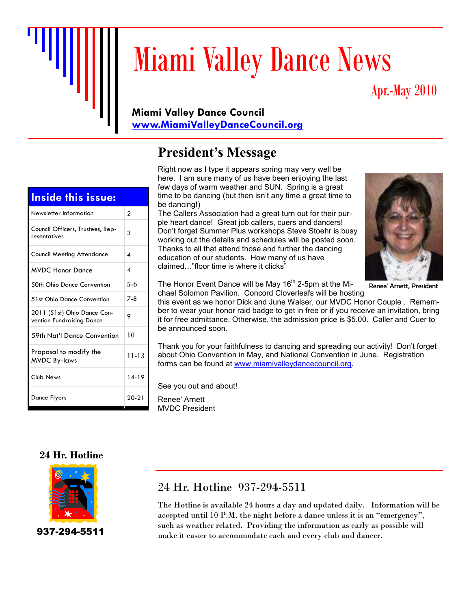

# Miami Valley Dance News

# Apr.-May 2010

#### **Miami Valley Dance Council www.MiamiValleyDanceCouncil.org**

# **President's Message**

Right now as I type it appears spring may very well be here. I am sure many of us have been enjoying the last few days of warm weather and SUN. Spring is a great time to be dancing (but then isn't any time a great time to be dancing!)

The Callers Association had a great turn out for their purple heart dance! Great job callers, cuers and dancers! Don't forget Summer Plus workshops Steve Stoehr is busy working out the details and schedules will be posted soon. Thanks to all that attend those and further the dancing education of our students. How many of us have claimed…"floor time is where it clicks"



Renee' Arnett, President

The Honor Event Dance will be May 16<sup>th</sup> 2-5pm at the Michael Solomon Pavilion. Concord Cloverleafs will be hosting

this event as we honor Dick and June Walser, our MVDC Honor Couple . Remember to wear your honor raid badge to get in free or if you receive an invitation, bring it for free admittance. Otherwise, the admission price is \$5.00. Caller and Cuer to be announced soon.

Thank you for your faithfulness to dancing and spreading our activity! Don't forget about Ohio Convention in May, and National Convention in June. Registration forms can be found at www.miamivalleydancecouncil.org.

See you out and about!

Renee' Arnett MVDC President

#### **24 Hr. Hotline**



937-294-5511

## 24 Hr. Hotline 937-294-5511

The Hotline is available 24 hours a day and updated daily. Information will be accepted until 10 P.M. the night before a dance unless it is an "emergency", such as weather related. Providing the information as early as possible will make it easier to accommodate each and every club and dancer.

#### **Inside this issue:**

| Newsletter Information                                   | $\overline{2}$ |
|----------------------------------------------------------|----------------|
| Council Officers, Trustees, Rep-<br>resentatives         | 3              |
| <b>Council Meeting Attendance</b>                        | 4              |
| <b>MVDC Honor Dance</b>                                  | 4              |
| 50th Ohio Dance Convention                               | $5 - 6$        |
| 51st Ohio Dance Convention                               | $7-8$          |
| 2011 (51st) Ohio Dance Con-<br>vention Fundraising Dance | 9              |
| 59th Nat'l Dance Convention                              | 10             |
| Proposal to modify the<br><b>MVDC By-laws</b>            | 11-13          |
| Club News                                                | $14-19$        |
| Dance Flyers                                             | $20 - 21$      |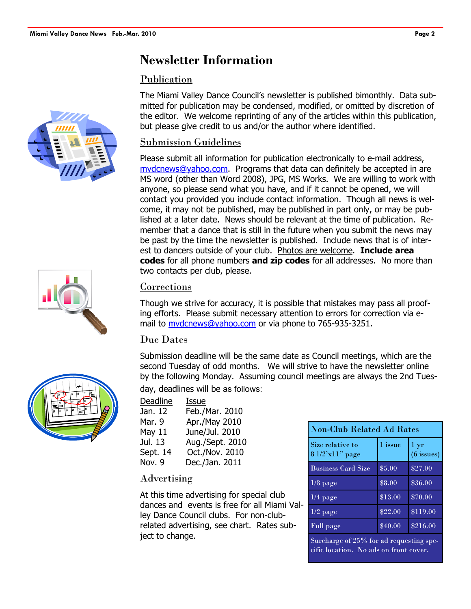## **Newsletter Information**

#### Publication

The Miami Valley Dance Council's newsletter is published bimonthly. Data submitted for publication may be condensed, modified, or omitted by discretion of the editor. We welcome reprinting of any of the articles within this publication, but please give credit to us and/or the author where identified.

#### Submission Guidelines

Please submit all information for publication electronically to e-mail address, mvdcnews@yahoo.com. Programs that data can definitely be accepted in are MS word (other than Word 2008), JPG, MS Works. We are willing to work with anyone, so please send what you have, and if it cannot be opened, we will contact you provided you include contact information. Though all news is welcome, it may not be published, may be published in part only, or may be published at a later date. News should be relevant at the time of publication. Remember that a dance that is still in the future when you submit the news may be past by the time the newsletter is published. Include news that is of interest to dancers outside of your club. Photos are welcome. **Include area codes** for all phone numbers **and zip codes** for all addresses. No more than two contacts per club, please.

#### Corrections

Though we strive for accuracy, it is possible that mistakes may pass all proofing efforts. Please submit necessary attention to errors for correction via email to mvdcnews@yahoo.com or via phone to 765-935-3251.

### Due Dates

Submission deadline will be the same date as Council meetings, which are the second Tuesday of odd months. We will strive to have the newsletter online by the following Monday. Assuming council meetings are always the 2nd Tuesday, deadlines will be as follows:

| Deadline | Issue           |
|----------|-----------------|
| Jan. 12  | Feb./Mar. 2010  |
| Mar. 9   | Apr./May 2010   |
| May 11   | June/Jul. 2010  |
| Jul. 13  | Aug./Sept. 2010 |
| Sept. 14 | Oct./Nov. 2010  |
| Nov. 9   | Dec./Jan. 2011  |

#### Advertising

At this time advertising for special club dances and events is free for all Miami Valley Dance Council clubs. For non-clubrelated advertising, see chart. Rates subject to change.

| <b>Non-Club Related Ad Rates</b>    |         |                                 |
|-------------------------------------|---------|---------------------------------|
| Size relative to<br>8 1/2'x11" page | 1 issue | $1 \mathrm{yr}$<br>$(6$ issues) |
| <b>Business Card Size</b>           | \$5.00  | \$27.00                         |
| $1/8$ page                          | \$8.00  | \$36.00                         |
| $1/4$ page                          | \$13.00 | \$70.00                         |
| $1/2$ page                          | \$22.00 | \$119.00                        |
| Full page                           | \$40.00 | \$216.00                        |

Surcharge of 25% for ad requesting specific location. No ads on front cover.





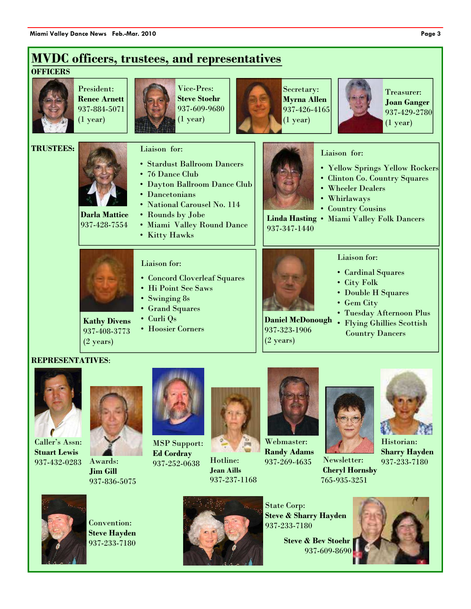

#### **REPRESENTATIVES**:



Caller's Assn: **Stuart Lewis**  937-432-0283 Awards:



**Jim Gill**  937-836-5075



MSP Support: **Ed Cordray**  937-252-0638



Hotline: **Jean Aills**  937-237-1168



Webmaster: **Randy Adams**  937-269-4635



Newsletter: **Cheryl Hornsby**  765-935-3251



Historian: **Sharry Hayden**  937-233-7180



Convention: **Steve Hayden**  937-233-7180



State Corp: **Steve & Sharry Hayden**  937-233-7180

 **Steve & Bev Stoehr** 937-609-8690

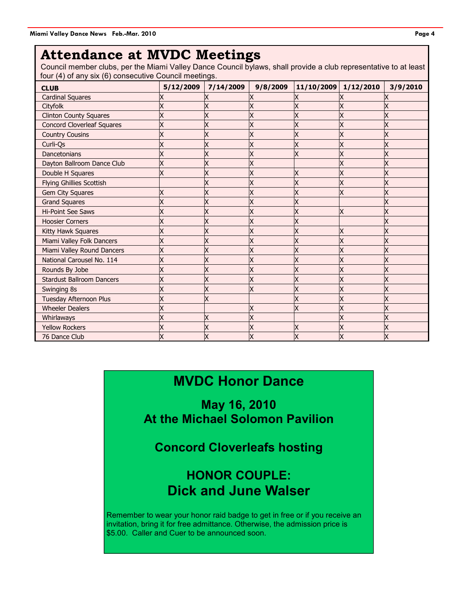## **Attendance at MVDC Meetings**

Council member clubs, per the Miami Valley Dance Council bylaws, shall provide a club representative to at least four (4) of any six (6) consecutive Council meetings.

| <b>CLUB</b>                       | 5/12/2009 | 7/14/2009 | 9/8/2009 | 11/10/2009 | 1/12/2010 | 3/9/2010 |
|-----------------------------------|-----------|-----------|----------|------------|-----------|----------|
| <b>Cardinal Squares</b>           |           |           |          |            |           |          |
| Cityfolk                          |           |           |          |            |           |          |
| <b>Clinton County Squares</b>     |           |           |          |            |           |          |
| <b>Concord Cloverleaf Squares</b> | X         |           |          |            |           |          |
| <b>Country Cousins</b>            |           |           |          |            |           |          |
| Curli-Qs                          |           |           |          |            |           |          |
| Dancetonians                      |           |           |          |            | X         |          |
| Dayton Ballroom Dance Club        |           |           |          |            |           |          |
| Double H Squares                  | X         |           |          |            | Х         |          |
| <b>Flying Ghillies Scottish</b>   |           |           |          |            |           |          |
| <b>Gem City Squares</b>           | X         |           |          |            | X         |          |
| <b>Grand Squares</b>              |           |           |          |            |           |          |
| <b>Hi-Point See Saws</b>          |           |           |          |            | Х         |          |
| <b>Hoosier Corners</b>            | Χ         |           |          |            |           |          |
| Kitty Hawk Squares                |           |           |          |            |           |          |
| Miami Valley Folk Dancers         |           |           |          |            |           |          |
| Miami Valley Round Dancers        |           |           |          |            |           |          |
| National Carousel No. 114         |           |           |          |            |           |          |
| Rounds By Jobe                    |           |           |          |            |           |          |
| <b>Stardust Ballroom Dancers</b>  |           |           |          |            |           |          |
| Swinging 8s                       |           |           |          |            |           |          |
| <b>Tuesday Afternoon Plus</b>     | X         |           |          |            | Х         |          |
| <b>Wheeler Dealers</b>            |           |           |          |            |           |          |
| Whirlaways                        |           |           |          |            |           |          |
| <b>Yellow Rockers</b>             |           |           |          |            |           |          |
| 76 Dance Club                     |           |           |          |            |           |          |

# **MVDC Honor Dance**

**May 16, 2010 At the Michael Solomon Pavilion** 

**Concord Cloverleafs hosting** 

## **HONOR COUPLE: Dick and June Walser**

Remember to wear your honor raid badge to get in free or if you receive an invitation, bring it for free admittance. Otherwise, the admission price is \$5.00. Caller and Cuer to be announced soon.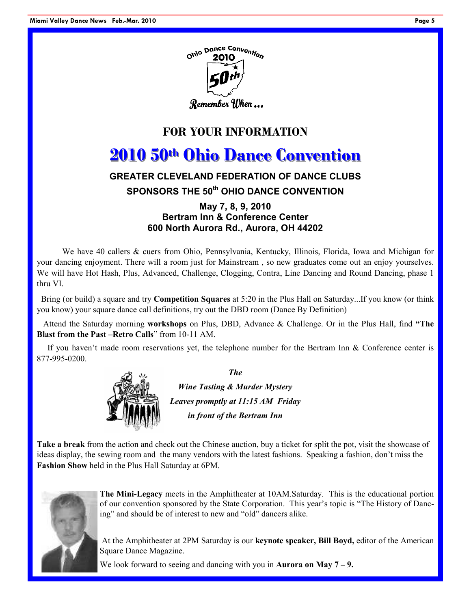



## **FOR YOUR INFORMATION**

# **2010 50th Ohio Dance Convention**

#### **GREATER CLEVELAND FEDERATION OF DANCE CLUBS**

#### **SPONSORS THE 50th OHIO DANCE CONVENTION**

#### **May 7, 8, 9, 2010 Bertram Inn & Conference Center 600 North Aurora Rd., Aurora, OH 44202**

We have 40 callers & cuers from Ohio, Pennsylvania, Kentucky, Illinois, Florida, Iowa and Michigan for your dancing enjoyment. There will a room just for Mainstream , so new graduates come out an enjoy yourselves. We will have Hot Hash, Plus, Advanced, Challenge, Clogging, Contra, Line Dancing and Round Dancing, phase 1 thru VI.

 Bring (or build) a square and try **Competition Squares** at 5:20 in the Plus Hall on Saturday...If you know (or think you know) your square dance call definitions, try out the DBD room (Dance By Definition)

 Attend the Saturday morning **workshops** on Plus, DBD, Advance & Challenge. Or in the Plus Hall, find **"The Blast from the Past –Retro Calls**" from 10-11 AM.

If you haven't made room reservations yet, the telephone number for the Bertram Inn  $\&$  Conference center is 877-995-0200.



*The* 

*Wine Tasting & Murder Mystery Leaves promptly at 11:15 AM Friday in front of the Bertram Inn* 

**Take a break** from the action and check out the Chinese auction, buy a ticket for split the pot, visit the showcase of ideas display, the sewing room and the many vendors with the latest fashions. Speaking a fashion, don't miss the **Fashion Show** held in the Plus Hall Saturday at 6PM.



**The Mini-Legacy** meets in the Amphitheater at 10AM.Saturday. This is the educational portion of our convention sponsored by the State Corporation. This year's topic is "The History of Dancing" and should be of interest to new and "old" dancers alike.

 At the Amphitheater at 2PM Saturday is our **keynote speaker, Bill Boyd,** editor of the American Square Dance Magazine.

We look forward to seeing and dancing with you in **Aurora on May 7 – 9.**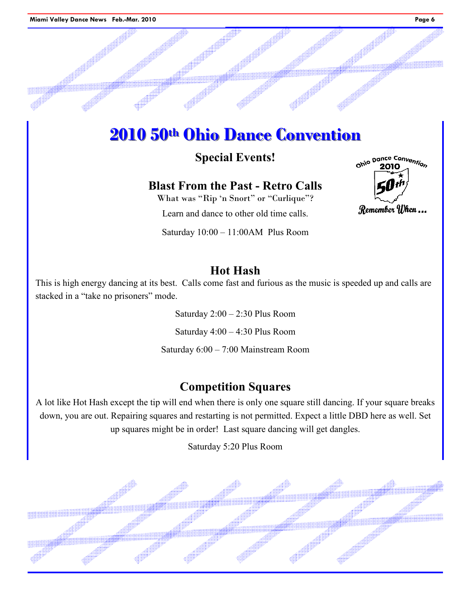# **2010 50th Ohio Dance Convention**

## **Special Events!**

## **Blast From the Past - Retro Calls**

What was "Rip 'n Snort" or "Curlique"?

Learn and dance to other old time calls.

Saturday 10:00 – 11:00AM Plus Room

## **Hot Hash**

This is high energy dancing at its best. Calls come fast and furious as the music is speeded up and calls are stacked in a "take no prisoners" mode.

> Saturday 2:00 – 2:30 Plus Room Saturday 4:00 – 4:30 Plus Room

Saturday 6:00 – 7:00 Mainstream Room

## **Competition Squares**

A lot like Hot Hash except the tip will end when there is only one square still dancing. If your square breaks down, you are out. Repairing squares and restarting is not permitted. Expect a little DBD here as well. Set up squares might be in order! Last square dancing will get dangles.

Saturday 5:20 Plus Room



Ohio Dance Convention

Remember When ...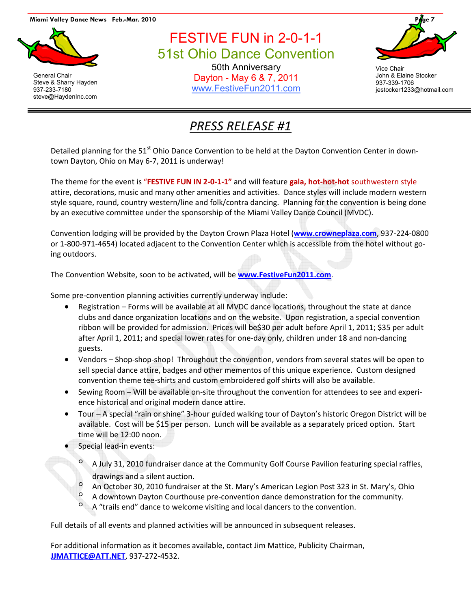#### **Miami Valley Dance News Feb.-Mar. 2010 Page 7**



General Chair Steve & Sharry Hayden 937-233-7180 steve@HaydenInc.com

FESTIVE FUN in 2-0-1-1 51st Ohio Dance Convention 50th Anniversary Dayton - May 6 & 7, 2011 www.FestiveFun2011.com



Vice Chair John & Elaine Stocker 937-339-1706 jestocker1233@hotmail.com

# *PRESS RELEASE #1*

Detailed planning for the 51<sup>st</sup> Ohio Dance Convention to be held at the Dayton Convention Center in downtown Dayton, Ohio on May 6-7, 2011 is underway!

The theme for the event is "**FESTIVE FUN IN 2-0-1-1"** and will feature **gala, hot-hot-hot** southwestern style attire, decorations, music and many other amenities and activities. Dance styles will include modern western style square, round, country western/line and folk/contra dancing. Planning for the convention is being done by an executive committee under the sponsorship of the Miami Valley Dance Council (MVDC).

Convention lodging will be provided by the Dayton Crown Plaza Hotel (**www.crowneplaza.com**, 937-224-0800 or 1-800-971-4654) located adjacent to the Convention Center which is accessible from the hotel without going outdoors.

The Convention Website, soon to be activated, will be **www.FestiveFun2011.com**.

Some pre-convention planning activities currently underway include:

- Registration Forms will be available at all MVDC dance locations, throughout the state at dance clubs and dance organization locations and on the website. Upon registration, a special convention ribbon will be provided for admission. Prices will be\$30 per adult before April 1, 2011; \$35 per adult after April 1, 2011; and special lower rates for one-day only, children under 18 and non-dancing guests.
- Vendors Shop-shop-shop! Throughout the convention, vendors from several states will be open to sell special dance attire, badges and other mementos of this unique experience. Custom designed convention theme tee-shirts and custom embroidered golf shirts will also be available.
- Sewing Room Will be available on-site throughout the convention for attendees to see and experience historical and original modern dance attire.
- Tour A special "rain or shine" 3-hour guided walking tour of Dayton's historic Oregon District will be available. Cost will be \$15 per person. Lunch will be available as a separately priced option. Start time will be 12:00 noon.
- Special lead-in events:
	- A July 31, 2010 fundraiser dance at the Community Golf Course Pavilion featuring special raffles, drawings and a silent auction.
	- $\degree$  An October 30, 2010 fundraiser at the St. Mary's American Legion Post 323 in St. Mary's, Ohio<br> $\degree$  A downtown Dayton Courthouse are-convention dance demonstration for the community
	- A downtown Dayton Courthouse pre-convention dance demonstration for the community.
	- <sup>o</sup> A "trails end" dance to welcome visiting and local dancers to the convention.

Full details of all events and planned activities will be announced in subsequent releases.

For additional information as it becomes available, contact Jim Mattice, Publicity Chairman, **JJMATTICE@ATT.NET**, 937-272-4532.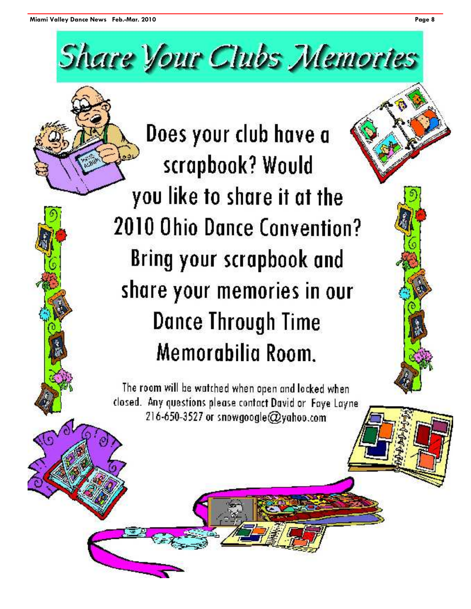# **Share Vour Clubs Memories**

Does your club have a scrapbook? Would you like to share it at the **2010 Ohio Dance Convention? Bring your scrapbook and** share your memories in our Dance Through Time Memorabilia Room.

The room will be watched when open and locked when closed. Any questions please contact David or Faye Layne 216-650-3527 or snowgoogle@yahoo.com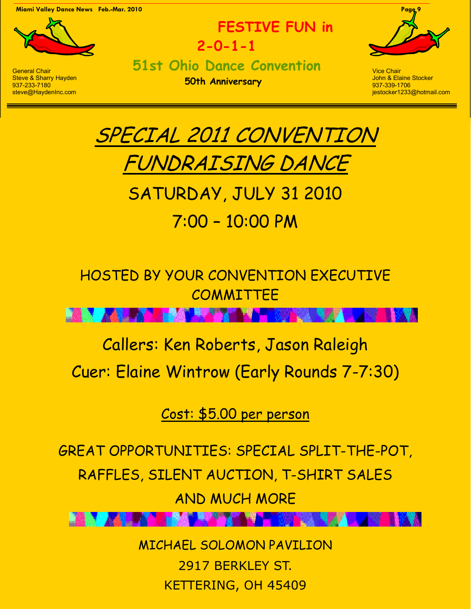**Miami Valley Dance News Feb.-Mar. 2010 Page 9** 



**FESTIVE FUN in 2-0-1-1 51st Ohio Dance Convention** 

**50th Anniversary** 



Vice Chair John & Elaine Stocker 937-339-1706 jestocker1233@hotmail.com



# SATURDAY, JULY 31 2010 7:00 – 10:00 PM

# HOSTED BY YOUR CONVENTION EXECUTIVE COMMITTEE

# Callers: Ken Roberts, Jason Raleigh Cuer: Elaine Wintrow (Early Rounds 7-7:30)

Cost: \$5.00 per person

GREAT OPPORTUNITIES: SPECIAL SPLIT-THE-POT,

RAFFLES, SILENT AUCTION, T-SHIRT SALES

AND MUCH MORE

MICHAEL SOLOMON PAVILION 2917 BERKLEY ST. KETTERING, OH 45409

General Chair Steve & Sharry Hayden 937-233-7180 steve@HaydenInc.com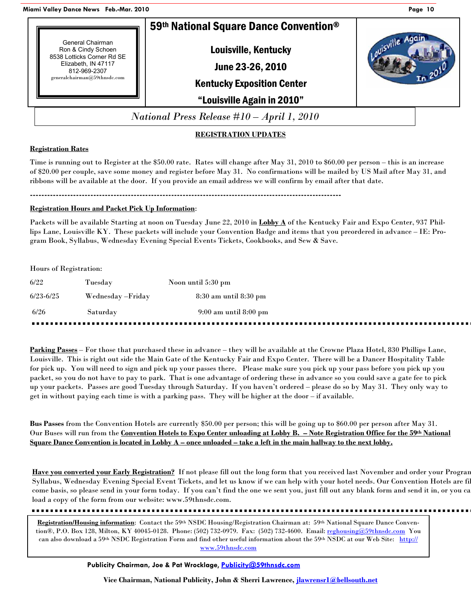**Miami Valley Dance News Feb.-Mar. 2010 Page 10**



#### **REGISTRATION UPDATES**

#### **Registration Rates**

Time is running out to Register at the \$50.00 rate. Rates will change after May 31, 2010 to \$60.00 per person – this is an increase of \$20.00 per couple, save some money and register before May 31. No confirmations will be mailed by US Mail after May 31, and ribbons will be available at the door. If you provide an email address we will confirm by email after that date.

**------------------------------------------------------------------------------------------------------------** 

#### **Registration Hours and Packet Pick Up Information**:

Packets will be available Starting at noon on Tuesday June 22, 2010 in **Lobby A** of the Kentucky Fair and Expo Center, 937 Phillips Lane, Louisville KY. These packets will include your Convention Badge and items that you preordered in advance – IE: Program Book, Syllabus, Wednesday Evening Special Events Tickets, Cookbooks, and Sew & Save.

#### Hours of Registration:

| 6/22          | Tuesday            | Noon until 5:30 pm        |
|---------------|--------------------|---------------------------|
| $6/23 - 6/25$ | Wednesday – Friday | 8:30 am until 8:30 pm     |
| 6/26          | Saturday           | $9:00$ am until $8:00$ pm |
|               |                    |                           |

**Parking Passes** – For those that purchased these in advance – they will be available at the Crowne Plaza Hotel, 830 Phillips Lane, Louisville. This is right out side the Main Gate of the Kentucky Fair and Expo Center. There will be a Dancer Hospitality Table for pick up. You will need to sign and pick up your passes there. Please make sure you pick up your pass before you pick up you packet, so you do not have to pay to park. That is one advantage of ordering these in advance so you could save a gate fee to pick up your packets. Passes are good Tuesday through Saturday. If you haven't ordered – please do so by May 31. They only way to get in without paying each time is with a parking pass. They will be higher at the door – if available.

**Bus Passes** from the Convention Hotels are currently \$50.00 per person; this will be going up to \$60.00 per person after May 31. Our Buses will run from the **Convention Hotels to Expo Center unloading at Lobby B. – Note Registration Office for the 59th National Square Dance Convention is located in Lobby A – once unloaded – take a left in the main hallway to the next lobby.**

Have you converted your Early Registration? If not please fill out the long form that you received last November and order your Program Syllabus, Wednesday Evening Special Event Tickets, and let us know if we can help with your hotel needs. Our Convention Hotels are fi come basis, so please send in your form today. If you can't find the one we sent you, just fill out any blank form and send it in, or you ca load a copy of the form from our website: www.59thnsdc.com.

**Registration/Housing information**: Contact the 59th NSDC Housing/Registration Chairman at: 59th National Square Dance Convention®, P.O. Box 128, Milton, KY 40045-0128. Phone: (502) 732-0979. Fax: (502) 732-4600. Email: reghousing@59thnsdc.com You can also download a 59th NSDC Registration Form and find other useful information about the 59th NSDC at our Web Site: http:// www.59thnsdc.com

**Vice Chairman, National Publicity, John & Sherri Lawrence, jlawrensr1@bellsouth.net**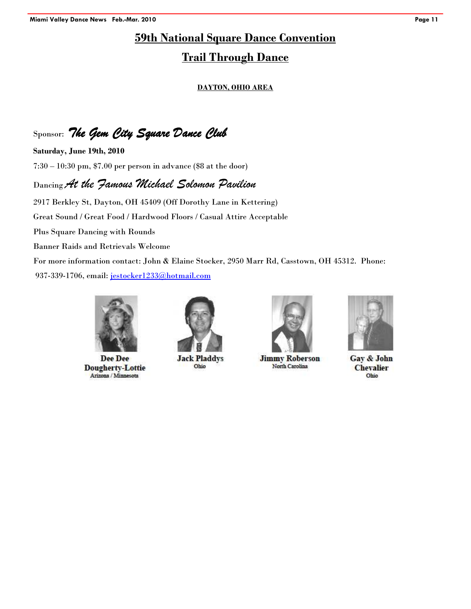#### **59th National Square Dance Convention**

#### **Trail Through Dance**

#### **DAYTON, OHIO AREA**

Sponsor: The Gem City Square Dance Club

**Saturday, June 19th, 2010**  7:30 – 10:30 pm, \$7.00 per person in advance (\$8 at the door)

#### Dancing *At the Famous Michael Solomon Pavilion*

2917 Berkley St, Dayton, OH 45409 (Off Dorothy Lane in Kettering) Great Sound / Great Food / Hardwood Floors / Casual Attire Acceptable Plus Square Dancing with Rounds Banner Raids and Retrievals Welcome For more information contact: John & Elaine Stocker, 2950 Marr Rd, Casstown, OH 45312. Phone: 937-339-1706, email: jestocker1233@hotmail.com



Dee Dee **Dougherty-Lottie** Arizona / Minnesota



**Jack Pladdys** Ohio



**Jimmy Roberson** North Carolina



Gay & John **Chevalier** Ohio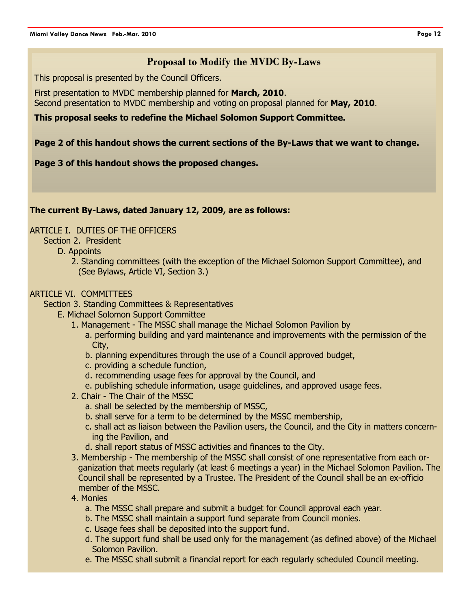#### **Proposal to Modify the MVDC By-Laws**

This proposal is presented by the Council Officers.

First presentation to MVDC membership planned for **March, 2010**. Second presentation to MVDC membership and voting on proposal planned for **May, 2010**.

#### **This proposal seeks to redefine the Michael Solomon Support Committee.**

#### **Page 2 of this handout shows the current sections of the By-Laws that we want to change.**

#### **Page 3 of this handout shows the proposed changes.**

#### **The current By-Laws, dated January 12, 2009, are as follows:**

#### ARTICLE I. DUTIES OF THE OFFICERS

#### Section 2. President

D. Appoints

2. Standing committees (with the exception of the Michael Solomon Support Committee), and (See Bylaws, Article VI, Section 3.)

#### ARTICLE VI. COMMITTEES

Section 3. Standing Committees & Representatives

- E. Michael Solomon Support Committee
	- 1. Management The MSSC shall manage the Michael Solomon Pavilion by
		- a. performing building and yard maintenance and improvements with the permission of the City,
		- b. planning expenditures through the use of a Council approved budget,
		- c. providing a schedule function,
		- d. recommending usage fees for approval by the Council, and
		- e. publishing schedule information, usage guidelines, and approved usage fees.
	- 2. Chair The Chair of the MSSC
		- a. shall be selected by the membership of MSSC,
		- b. shall serve for a term to be determined by the MSSC membership,
		- c. shall act as liaison between the Pavilion users, the Council, and the City in matters concerning the Pavilion, and
		- d. shall report status of MSSC activities and finances to the City.
	- 3. Membership The membership of the MSSC shall consist of one representative from each organization that meets regularly (at least 6 meetings a year) in the Michael Solomon Pavilion. The Council shall be represented by a Trustee. The President of the Council shall be an ex-officio member of the MSSC.

#### 4. Monies

- a. The MSSC shall prepare and submit a budget for Council approval each year.
- b. The MSSC shall maintain a support fund separate from Council monies.
- c. Usage fees shall be deposited into the support fund.
- d. The support fund shall be used only for the management (as defined above) of the Michael Solomon Pavilion.
- e. The MSSC shall submit a financial report for each regularly scheduled Council meeting.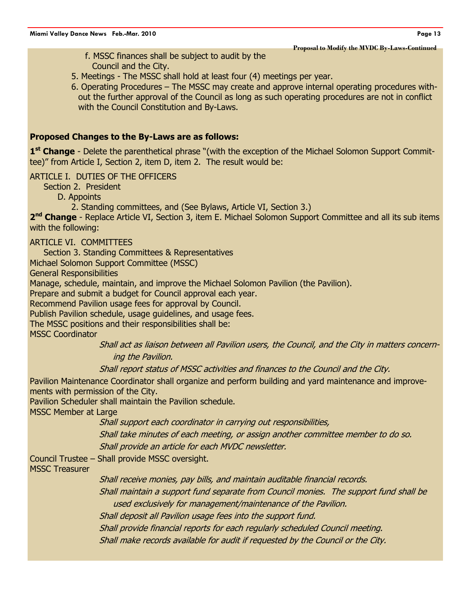**Proposal to Modify the MVDC By-Laws-Continued** 

- f. MSSC finances shall be subject to audit by the Council and the City.
- 5. Meetings The MSSC shall hold at least four (4) meetings per year.
- 6. Operating Procedures The MSSC may create and approve internal operating procedures without the further approval of the Council as long as such operating procedures are not in conflict with the Council Constitution and By-Laws.

#### **Proposed Changes to the By-Laws are as follows:**

1<sup>st</sup> Change - Delete the parenthetical phrase "(with the exception of the Michael Solomon Support Committee)" from Article I, Section 2, item D, item 2. The result would be:

#### ARTICLE I. DUTIES OF THE OFFICERS

Section 2. President

D. Appoints

2. Standing committees, and (See Bylaws, Article VI, Section 3.)

2<sup>nd</sup> Change - Replace Article VI, Section 3, item E. Michael Solomon Support Committee and all its sub items with the following:

#### ARTICLE VI. COMMITTEES

Section 3. Standing Committees & Representatives

Michael Solomon Support Committee (MSSC)

General Responsibilities

Manage, schedule, maintain, and improve the Michael Solomon Pavilion (the Pavilion).

Prepare and submit a budget for Council approval each year.

Recommend Pavilion usage fees for approval by Council.

Publish Pavilion schedule, usage guidelines, and usage fees.

The MSSC positions and their responsibilities shall be:

MSSC Coordinator

Shall act as liaison between all Pavilion users, the Council, and the City in matters concerning the Pavilion.

Shall report status of MSSC activities and finances to the Council and the City.

Pavilion Maintenance Coordinator shall organize and perform building and yard maintenance and improvements with permission of the City.

Pavilion Scheduler shall maintain the Pavilion schedule.

MSSC Member at Large

Shall support each coordinator in carrying out responsibilities,

Shall take minutes of each meeting, or assign another committee member to do so. Shall provide an article for each MVDC newsletter.

Council Trustee – Shall provide MSSC oversight.

MSSC Treasurer

Shall receive monies, pay bills, and maintain auditable financial records.

Shall maintain a support fund separate from Council monies. The support fund shall be used exclusively for management/maintenance of the Pavilion.

Shall deposit all Pavilion usage fees into the support fund.

Shall provide financial reports for each regularly scheduled Council meeting.

Shall make records available for audit if requested by the Council or the City.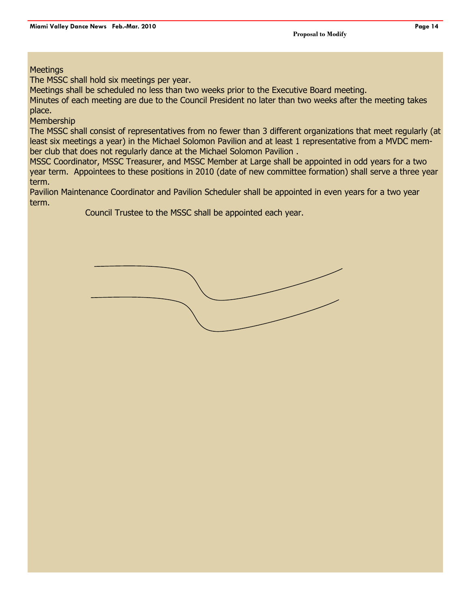#### **Meetings**

The MSSC shall hold six meetings per year.

Meetings shall be scheduled no less than two weeks prior to the Executive Board meeting.

Minutes of each meeting are due to the Council President no later than two weeks after the meeting takes place.

**Membership** 

The MSSC shall consist of representatives from no fewer than 3 different organizations that meet regularly (at least six meetings a year) in the Michael Solomon Pavilion and at least 1 representative from a MVDC member club that does not regularly dance at the Michael Solomon Pavilion .

MSSC Coordinator, MSSC Treasurer, and MSSC Member at Large shall be appointed in odd years for a two year term. Appointees to these positions in 2010 (date of new committee formation) shall serve a three year term.

Pavilion Maintenance Coordinator and Pavilion Scheduler shall be appointed in even years for a two year term.

Council Trustee to the MSSC shall be appointed each year.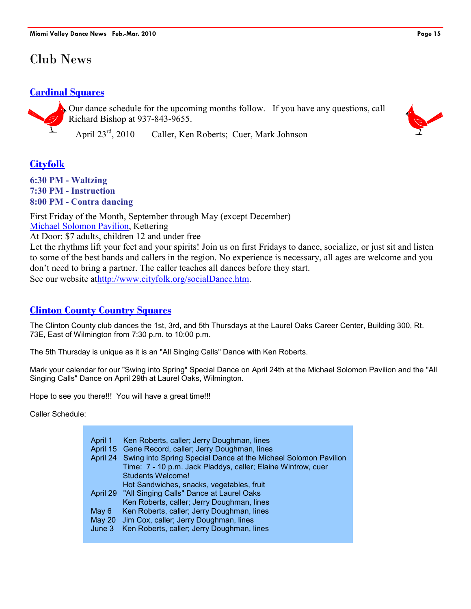## Club News

#### **Cardinal Squares**



Our dance schedule for the upcoming months follow. If you have any questions, call Richard Bishop at 937-843-9655.

April 23rd, 2010 Caller, Ken Roberts; Cuer, Mark Johnson

### **Cityfolk**

**6:30 PM - Waltzing 7:30 PM - Instruction 8:00 PM - Contra dancing**

First Friday of the Month, September through May (except December) Michael Solomon Pavilion, Kettering

At Door: \$7 adults, children 12 and under free

Let the rhythms lift your feet and your spirits! Join us on first Fridays to dance, socialize, or just sit and listen to some of the best bands and callers in the region. No experience is necessary, all ages are welcome and you don't need to bring a partner. The caller teaches all dances before they start. See our website athttp://www.cityfolk.org/socialDance.htm.

### **Clinton County Country Squares**

The Clinton County club dances the 1st, 3rd, and 5th Thursdays at the Laurel Oaks Career Center, Building 300, Rt. 73E, East of Wilmington from 7:30 p.m. to 10:00 p.m.

The 5th Thursday is unique as it is an "All Singing Calls" Dance with Ken Roberts.

Mark your calendar for our "Swing into Spring" Special Dance on April 24th at the Michael Solomon Pavilion and the "All Singing Calls" Dance on April 29th at Laurel Oaks, Wilmington.

Hope to see you there!!! You will have a great time!!!

Caller Schedule:

| April 1 | Ken Roberts, caller; Jerry Doughman, lines<br>April 15 Gene Record, caller; Jerry Doughman, lines<br>April 24 Swing into Spring Special Dance at the Michael Solomon Pavilion |
|---------|-------------------------------------------------------------------------------------------------------------------------------------------------------------------------------|
|         | Time: 7 - 10 p.m. Jack Pladdys, caller; Elaine Wintrow, cuer<br><b>Students Welcome!</b>                                                                                      |
|         | Hot Sandwiches, snacks, vegetables, fruit                                                                                                                                     |
|         | April 29 "All Singing Calls" Dance at Laurel Oaks<br>Ken Roberts, caller; Jerry Doughman, lines                                                                               |
| May 6   | Ken Roberts, caller; Jerry Doughman, lines                                                                                                                                    |
|         | May 20 Jim Cox, caller; Jerry Doughman, lines                                                                                                                                 |
| June 3  | Ken Roberts, caller; Jerry Doughman, lines                                                                                                                                    |

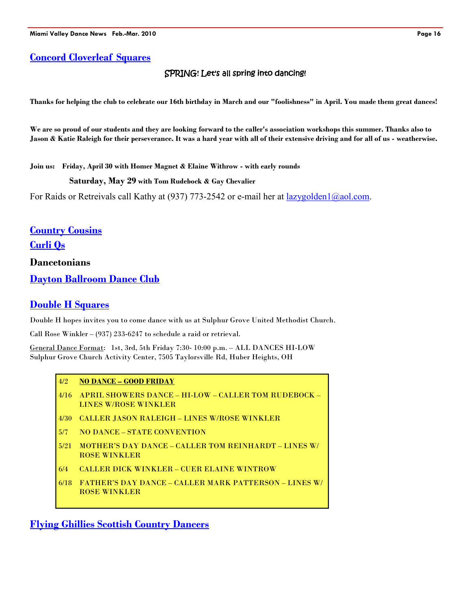#### **Concord Cloverleaf Squares**

#### SPRING**!** Let's all spring into dancing!

**Thanks for helping the club to celebrate our 16th birthday in March and our "foolishness" in April. You made them great dances!** 

**We are so proud of our students and they are looking forward to the caller's association workshops this summer. Thanks also to Jason & Katie Raleigh for their perseverance. It was a hard year with all of their extensive driving and for all of us - weatherwise.**

**Join us: Friday, April 30 with Homer Magnet & Elaine Withrow - with early rounds** 

**Saturday, May 29 with Tom Rudebock & Gay Chevalier** 

For Raids or Retreivals call Kathy at (937) 773-2542 or e-mail her at lazygolden1@aol.com.

**Country Cousins**

**Curli Qs**

**Dancetonians** 

**Dayton Ballroom Dance Club**

#### **Double H Squares**

Double H hopes invites you to come dance with us at Sulphur Grove United Methodist Church.

Call Rose Winkler – (937) 233-6247 to schedule a raid or retrieval.

General Dance Format: 1st, 3rd, 5th Friday 7:30- 10:00 p.m. – ALL DANCES HI-LOW Sulphur Grove Church Activity Center, 7505 Taylorsville Rd, Huber Heights, OH

#### 4/2 **NO DANCE – GOOD FRIDAY**

- 4/16 APRIL SHOWERS DANCE HI-LOW CALLER TOM RUDEBOCK LINES W/ROSE WINKLER
- 4/30 CALLER JASON RALEIGH LINES W/ROSE WINKLER
- 5/7 NO DANCE STATE CONVENTION
- 5/21 MOTHER'S DAY DANCE CALLER TOM REINHARDT LINES W/ ROSE WINKLER
- 6/4 CALLER DICK WINKLER CUER ELAINE WINTROW
- 6/18 FATHER'S DAY DANCE CALLER MARK PATTERSON LINES W/ ROSE WINKLER

**Flying Ghillies Scottish Country Dancers**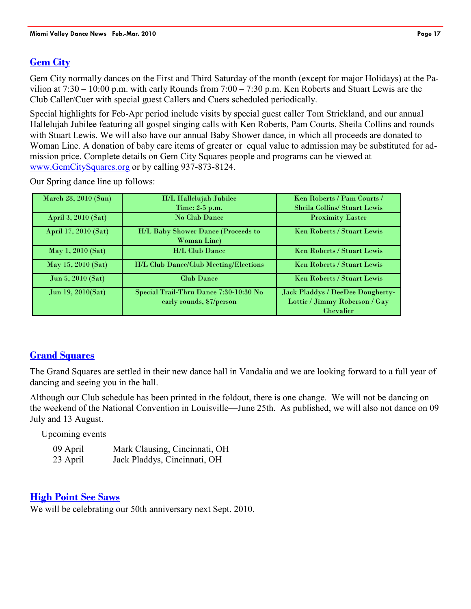#### **Gem City**

Gem City normally dances on the First and Third Saturday of the month (except for major Holidays) at the Pavilion at 7:30 – 10:00 p.m. with early Rounds from 7:00 – 7:30 p.m. Ken Roberts and Stuart Lewis are the Club Caller/Cuer with special guest Callers and Cuers scheduled periodically.

Special highlights for Feb-Apr period include visits by special guest caller Tom Strickland, and our annual Hallelujah Jubilee featuring all gospel singing calls with Ken Roberts, Pam Courts, Sheila Collins and rounds with Stuart Lewis. We will also have our annual Baby Shower dance, in which all proceeds are donated to Woman Line. A donation of baby care items of greater or equal value to admission may be substituted for admission price. Complete details on Gem City Squares people and programs can be viewed at www.GemCitySquares.org or by calling 937-873-8124.

| March 28, 2010 (Sun) | H/L Hallelujah Jubilee                                    | Ken Roberts / Pam Courts /          |
|----------------------|-----------------------------------------------------------|-------------------------------------|
|                      | Time: 2-5 p.m.                                            | <b>Sheila Collins/ Stuart Lewis</b> |
| April 3, 2010 (Sat)  | <b>No Club Dance</b>                                      | <b>Proximity Easter</b>             |
| April 17, 2010 (Sat) | H/L Baby Shower Dance (Proceeds to<br><b>Woman Line</b> ) | <b>Ken Roberts / Stuart Lewis</b>   |
| May 1, 2010 (Sat)    | <b>H/L Club Dance</b>                                     | Ken Roberts / Stuart Lewis          |
| May 15, 2010 (Sat)   | <b>H/L Club Dance/Club Meeting/Elections</b>              | <b>Ken Roberts / Stuart Lewis</b>   |
| Jun 5, $2010$ (Sat)  | <b>Club Dance</b>                                         | <b>Ken Roberts / Stuart Lewis</b>   |
| Jun 19, 2010(Sat)    | Special Trail-Thru Dance 7:30-10:30 No                    | Jack Pladdys / DeeDee Dougherty-    |
|                      | early rounds, \$7/person                                  | Lottie / Jimmy Roberson / Gay       |
|                      |                                                           | <b>Chevalier</b>                    |

Our Spring dance line up follows:

#### **Grand Squares**

The Grand Squares are settled in their new dance hall in Vandalia and we are looking forward to a full year of dancing and seeing you in the hall.

Although our Club schedule has been printed in the foldout, there is one change. We will not be dancing on the weekend of the National Convention in Louisville—June 25th. As published, we will also not dance on 09 July and 13 August.

Upcoming events

| 09 April | Mark Clausing, Cincinnati, OH |
|----------|-------------------------------|
| 23 April | Jack Pladdys, Cincinnati, OH  |

#### **High Point See Saws**

We will be celebrating our 50th anniversary next Sept. 2010.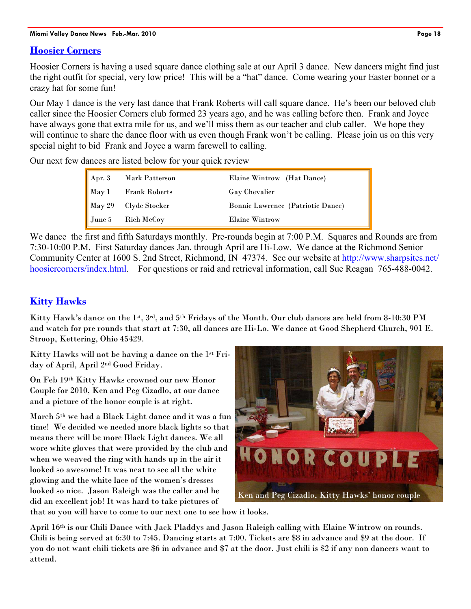#### **Hoosier Corners**

Hoosier Corners is having a used square dance clothing sale at our April 3 dance. New dancers might find just the right outfit for special, very low price! This will be a "hat" dance. Come wearing your Easter bonnet or a crazy hat for some fun!

Our May 1 dance is the very last dance that Frank Roberts will call square dance. He's been our beloved club caller since the Hoosier Corners club formed 23 years ago, and he was calling before then. Frank and Joyce have always gone that extra mile for us, and we'll miss them as our teacher and club caller. We hope they will continue to share the dance floor with us even though Frank won't be calling. Please join us on this very special night to bid Frank and Joyce a warm farewell to calling.

Our next few dances are listed below for your quick review

| $\sqrt{\text{Apr. 3}}$ | Mark Patterson           | Elaine Wintrow (Hat Dance)        |
|------------------------|--------------------------|-----------------------------------|
|                        | May 1 Frank Roberts      | <b>Gay Chevalier</b>              |
|                        | May 29 Clyde Stocker     | Bonnie Lawrence (Patriotic Dance) |
|                        | $\int$ June 5 Rich McCoy | <b>Elaine Wintrow</b>             |

We dance the first and fifth Saturdays monthly. Pre-rounds begin at 7:00 P.M. Squares and Rounds are from 7:30-10:00 P.M. First Saturday dances Jan. through April are Hi-Low. We dance at the Richmond Senior Community Center at 1600 S. 2nd Street, Richmond, IN 47374. See our website at http://www.sharpsites.net/ hoosiercorners/index.html. For questions or raid and retrieval information, call Sue Reagan 765-488-0042.

## **Kitty Hawks**

Kitty Hawk's dance on the 1st, 3rd, and 5th Fridays of the Month. Our club dances are held from 8-10:30 PM and watch for pre rounds that start at 7:30, all dances are Hi-Lo. We dance at Good Shepherd Church, 901 E. Stroop, Kettering, Ohio 45429.

Kitty Hawks will not be having a dance on the 1st Friday of April, April 2nd Good Friday.

On Feb 19th Kitty Hawks crowned our new Honor Couple for 2010, Ken and Peg Cizadlo, at our dance and a picture of the honor couple is at right.

March 5th we had a Black Light dance and it was a fun time! We decided we needed more black lights so that means there will be more Black Light dances. We all wore white gloves that were provided by the club and when we weaved the ring with hands up in the air it looked so awesome! It was neat to see all the white glowing and the white lace of the women's dresses looked so nice. Jason Raleigh was the caller and he did an excellent job! It was hard to take pictures of



that so you will have to come to our next one to see how it looks.

April 16th is our Chili Dance with Jack Pladdys and Jason Raleigh calling with Elaine Wintrow on rounds. Chili is being served at 6:30 to 7:45. Dancing starts at 7:00. Tickets are \$8 in advance and \$9 at the door. If you do not want chili tickets are \$6 in advance and \$7 at the door. Just chili is \$2 if any non dancers want to attend.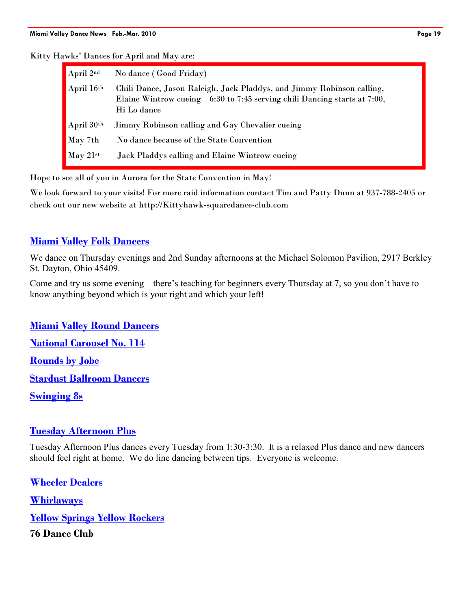#### Kitty Hawks' Dances for April and May are:

| $\blacktriangle$ April $2^{\text{nd}}$ | No dance (Good Friday)                                                                                                                                           |
|----------------------------------------|------------------------------------------------------------------------------------------------------------------------------------------------------------------|
| April 16th                             | Chili Dance, Jason Raleigh, Jack Pladdys, and Jimmy Robinson calling,<br>Elaine Wintrow cueing 6:30 to 7:45 serving chili Dancing starts at 7:00,<br>Hi Lo dance |
| April $30th$                           | Jimmy Robinson calling and Gay Chevalier cueing                                                                                                                  |
| May 7th                                | No dance because of the State Convention                                                                                                                         |
| $\blacksquare$ May $21$ <sup>st</sup>  | Jack Pladdys calling and Elaine Wintrow cueing                                                                                                                   |

Hope to see all of you in Aurora for the State Convention in May!

We look forward to your visits! For more raid information contact Tim and Patty Dunn at 937-788-2405 or check out our new website at http://Kittyhawk-squaredance-club.com

#### **Miami Valley Folk Dancers**

We dance on Thursday evenings and 2nd Sunday afternoons at the Michael Solomon Pavilion, 2917 Berkley St. Dayton, Ohio 45409.

Come and try us some evening – there's teaching for beginners every Thursday at 7, so you don't have to know anything beyond which is your right and which your left!

**Miami Valley Round Dancers National Carousel No. 114 Rounds by Jobe Stardust Ballroom Dancers Swinging 8s**

#### **Tuesday Afternoon Plus**

Tuesday Afternoon Plus dances every Tuesday from 1:30-3:30. It is a relaxed Plus dance and new dancers should feel right at home. We do line dancing between tips. Everyone is welcome.

**Wheeler Dealers Whirlaways Yellow Springs Yellow Rockers 76 Dance Club**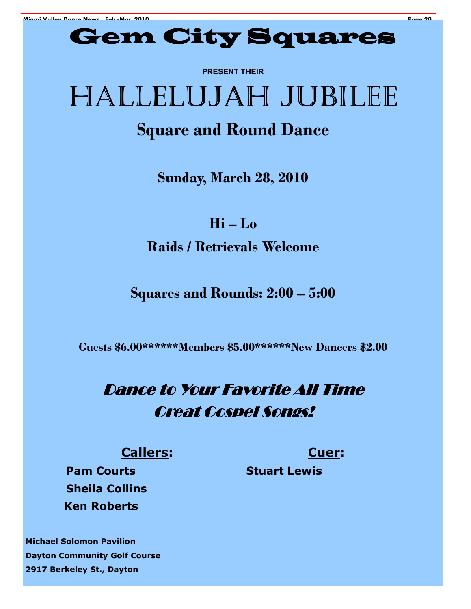

**PRESENT THEIR** 

# HALLELUJAH JUBILEE

# **Square and Round Dance**

**Sunday, March 28, 2010** 

**Hi – Lo Raids / Retrievals Welcome** 

**Squares and Rounds: 2:00 – 5:00** 

**Guests \$6.00\*\*\*\*\*\*Members \$5.00\*\*\*\*\*\*New Dancers \$2.00**

# Dance to Your Favorite All Time **Great Gospel Songs!**

## **Callers: Cuer:**

**Pam Courts Stuart Lewis Sheila Collins Ken Roberts** 

**Michael Solomon Pavilion Dayton Community Golf Course 2917 Berkeley St., Dayton**